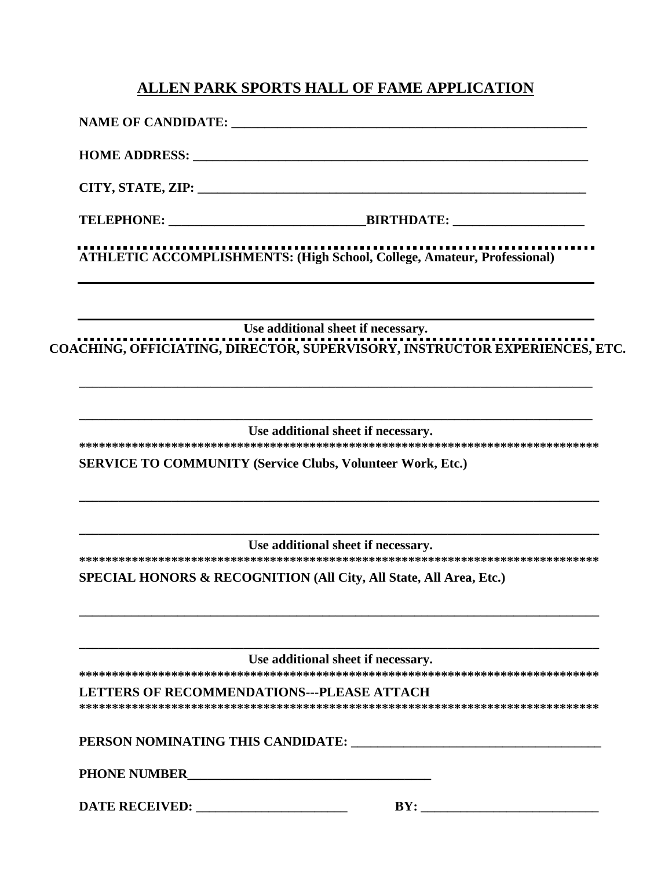## **ALLEN PARK SPORTS HALL OF FAME APPLICATION**

| NAME OF CANDIDATE:                                |                                                                                                                  |  |
|---------------------------------------------------|------------------------------------------------------------------------------------------------------------------|--|
|                                                   |                                                                                                                  |  |
|                                                   |                                                                                                                  |  |
|                                                   | <b>ATHLETIC ACCOMPLISHMENTS: (High School, College, Amateur, Professional)</b>                                   |  |
|                                                   | Use additional sheet if necessary.<br>COACHING, OFFICIATING, DIRECTOR, SUPERVISORY, INSTRUCTOR EXPERIENCES, ETC. |  |
|                                                   | Use additional sheet if necessary.                                                                               |  |
|                                                   | <b>SERVICE TO COMMUNITY (Service Clubs, Volunteer Work, Etc.)</b>                                                |  |
|                                                   | Use additional sheet if necessary.                                                                               |  |
|                                                   | SPECIAL HONORS & RECOGNITION (All City, All State, All Area, Etc.)                                               |  |
|                                                   | Use additional sheet if necessary.                                                                               |  |
| <b>LETTERS OF RECOMMENDATIONS---PLEASE ATTACH</b> |                                                                                                                  |  |
|                                                   | PERSON NOMINATING THIS CANDIDATE:                                                                                |  |
|                                                   |                                                                                                                  |  |
|                                                   | BY:                                                                                                              |  |